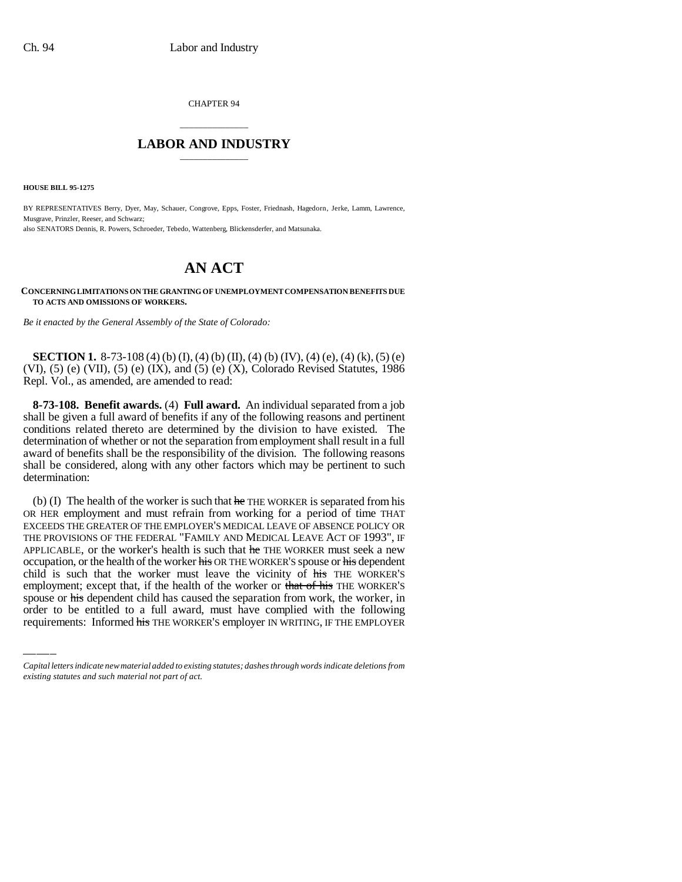CHAPTER 94

## \_\_\_\_\_\_\_\_\_\_\_\_\_\_\_ **LABOR AND INDUSTRY** \_\_\_\_\_\_\_\_\_\_\_\_\_\_\_

**HOUSE BILL 95-1275**

BY REPRESENTATIVES Berry, Dyer, May, Schauer, Congrove, Epps, Foster, Friednash, Hagedorn, Jerke, Lamm, Lawrence, Musgrave, Prinzler, Reeser, and Schwarz; also SENATORS Dennis, R. Powers, Schroeder, Tebedo, Wattenberg, Blickensderfer, and Matsunaka.

## **AN ACT**

**CONCERNING LIMITATIONS ON THE GRANTING OF UNEMPLOYMENT COMPENSATION BENEFITS DUE TO ACTS AND OMISSIONS OF WORKERS.**

*Be it enacted by the General Assembly of the State of Colorado:*

**SECTION 1.** 8-73-108 (4) (b) (I), (4) (b) (II), (4) (b) (IV), (4) (e), (4) (k), (5) (e) (VI), (5) (e) (VII), (5) (e) (IX), and (5) (e) (X), Colorado Revised Statutes, 1986 Repl. Vol., as amended, are amended to read:

**8-73-108. Benefit awards.** (4) **Full award.** An individual separated from a job shall be given a full award of benefits if any of the following reasons and pertinent conditions related thereto are determined by the division to have existed. The determination of whether or not the separation from employment shall result in a full award of benefits shall be the responsibility of the division. The following reasons shall be considered, along with any other factors which may be pertinent to such determination:

comparison, or the health of the worker must leave the vicinity of his THE WORKER'S (b) (I) The health of the worker is such that  $he$  THE WORKER is separated from his OR HER employment and must refrain from working for a period of time THAT EXCEEDS THE GREATER OF THE EMPLOYER'S MEDICAL LEAVE OF ABSENCE POLICY OR THE PROVISIONS OF THE FEDERAL "FAMILY AND MEDICAL LEAVE ACT OF 1993", IF APPLICABLE, or the worker's health is such that he THE WORKER must seek a new occupation, or the health of the worker his OR THE WORKER'S spouse or his dependent employment; except that, if the health of the worker or that of his THE WORKER'S spouse or his dependent child has caused the separation from work, the worker, in order to be entitled to a full award, must have complied with the following requirements: Informed his THE WORKER'S employer IN WRITING, IF THE EMPLOYER

*Capital letters indicate new material added to existing statutes; dashes through words indicate deletions from existing statutes and such material not part of act.*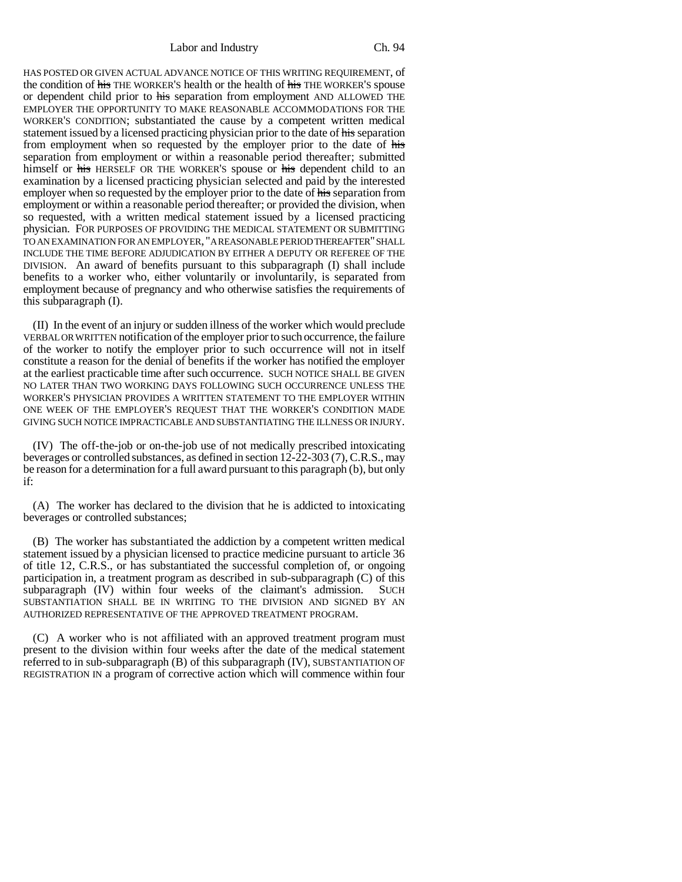Labor and Industry Ch. 94

HAS POSTED OR GIVEN ACTUAL ADVANCE NOTICE OF THIS WRITING REQUIREMENT, of the condition of his THE WORKER'S health or the health of his THE WORKER'S spouse or dependent child prior to his separation from employment AND ALLOWED THE EMPLOYER THE OPPORTUNITY TO MAKE REASONABLE ACCOMMODATIONS FOR THE WORKER'S CONDITION; substantiated the cause by a competent written medical statement issued by a licensed practicing physician prior to the date of his separation from employment when so requested by the employer prior to the date of his separation from employment or within a reasonable period thereafter; submitted himself or his HERSELF OR THE WORKER'S spouse or his dependent child to an examination by a licensed practicing physician selected and paid by the interested employer when so requested by the employer prior to the date of his separation from employment or within a reasonable period thereafter; or provided the division, when so requested, with a written medical statement issued by a licensed practicing physician. FOR PURPOSES OF PROVIDING THE MEDICAL STATEMENT OR SUBMITTING TO AN EXAMINATION FOR AN EMPLOYER, "A REASONABLE PERIOD THEREAFTER" SHALL INCLUDE THE TIME BEFORE ADJUDICATION BY EITHER A DEPUTY OR REFEREE OF THE DIVISION. An award of benefits pursuant to this subparagraph (I) shall include benefits to a worker who, either voluntarily or involuntarily, is separated from employment because of pregnancy and who otherwise satisfies the requirements of this subparagraph (I).

(II) In the event of an injury or sudden illness of the worker which would preclude VERBAL OR WRITTEN notification of the employer prior to such occurrence, the failure of the worker to notify the employer prior to such occurrence will not in itself constitute a reason for the denial of benefits if the worker has notified the employer at the earliest practicable time after such occurrence. SUCH NOTICE SHALL BE GIVEN NO LATER THAN TWO WORKING DAYS FOLLOWING SUCH OCCURRENCE UNLESS THE WORKER'S PHYSICIAN PROVIDES A WRITTEN STATEMENT TO THE EMPLOYER WITHIN ONE WEEK OF THE EMPLOYER'S REQUEST THAT THE WORKER'S CONDITION MADE GIVING SUCH NOTICE IMPRACTICABLE AND SUBSTANTIATING THE ILLNESS OR INJURY.

(IV) The off-the-job or on-the-job use of not medically prescribed intoxicating beverages or controlled substances, as defined in section 12-22-303 (7), C.R.S., may be reason for a determination for a full award pursuant to this paragraph (b), but only if:

(A) The worker has declared to the division that he is addicted to intoxicating beverages or controlled substances;

(B) The worker has substantiated the addiction by a competent written medical statement issued by a physician licensed to practice medicine pursuant to article 36 of title 12, C.R.S., or has substantiated the successful completion of, or ongoing participation in, a treatment program as described in sub-subparagraph (C) of this subparagraph (IV) within four weeks of the claimant's admission. SUCH SUBSTANTIATION SHALL BE IN WRITING TO THE DIVISION AND SIGNED BY AN AUTHORIZED REPRESENTATIVE OF THE APPROVED TREATMENT PROGRAM.

(C) A worker who is not affiliated with an approved treatment program must present to the division within four weeks after the date of the medical statement referred to in sub-subparagraph (B) of this subparagraph (IV), SUBSTANTIATION OF REGISTRATION IN a program of corrective action which will commence within four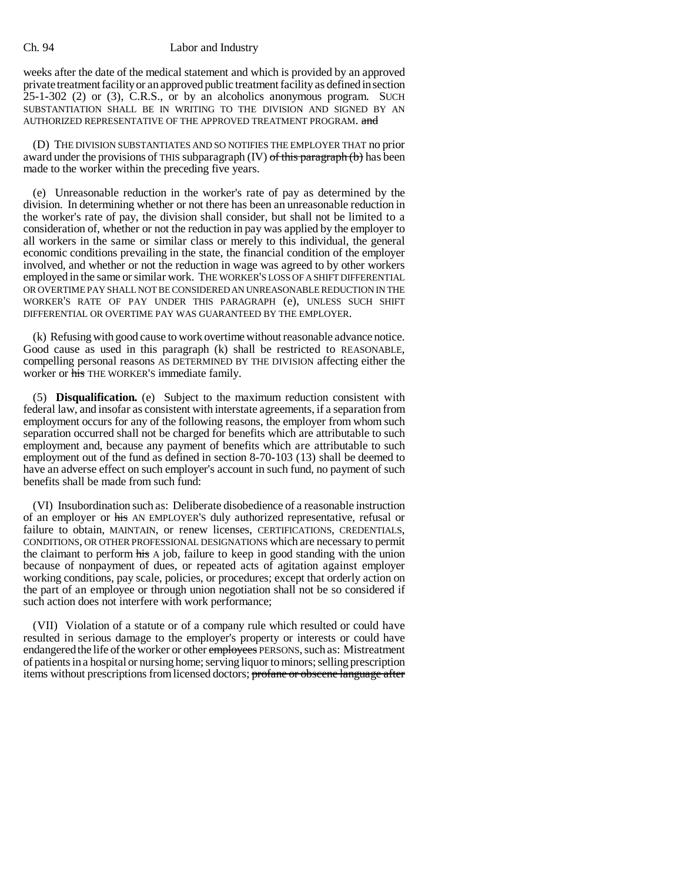## Ch. 94 Labor and Industry

weeks after the date of the medical statement and which is provided by an approved private treatment facility or an approved public treatment facility as defined in section 25-1-302 (2) or (3), C.R.S., or by an alcoholics anonymous program. SUCH SUBSTANTIATION SHALL BE IN WRITING TO THE DIVISION AND SIGNED BY AN AUTHORIZED REPRESENTATIVE OF THE APPROVED TREATMENT PROGRAM. and

(D) THE DIVISION SUBSTANTIATES AND SO NOTIFIES THE EMPLOYER THAT no prior award under the provisions of THIS subparagraph  $(V)$  of this paragraph  $(b)$  has been made to the worker within the preceding five years.

(e) Unreasonable reduction in the worker's rate of pay as determined by the division. In determining whether or not there has been an unreasonable reduction in the worker's rate of pay, the division shall consider, but shall not be limited to a consideration of, whether or not the reduction in pay was applied by the employer to all workers in the same or similar class or merely to this individual, the general economic conditions prevailing in the state, the financial condition of the employer involved, and whether or not the reduction in wage was agreed to by other workers employed in the same or similar work. THE WORKER'S LOSS OF A SHIFT DIFFERENTIAL OR OVERTIME PAY SHALL NOT BE CONSIDERED AN UNREASONABLE REDUCTION IN THE WORKER'S RATE OF PAY UNDER THIS PARAGRAPH (e), UNLESS SUCH SHIFT DIFFERENTIAL OR OVERTIME PAY WAS GUARANTEED BY THE EMPLOYER.

(k) Refusing with good cause to work overtime without reasonable advance notice. Good cause as used in this paragraph (k) shall be restricted to REASONABLE, compelling personal reasons AS DETERMINED BY THE DIVISION affecting either the worker or his THE WORKER'S immediate family.

(5) **Disqualification.** (e) Subject to the maximum reduction consistent with federal law, and insofar as consistent with interstate agreements, if a separation from employment occurs for any of the following reasons, the employer from whom such separation occurred shall not be charged for benefits which are attributable to such employment and, because any payment of benefits which are attributable to such employment out of the fund as defined in section 8-70-103 (13) shall be deemed to have an adverse effect on such employer's account in such fund, no payment of such benefits shall be made from such fund:

(VI) Insubordination such as: Deliberate disobedience of a reasonable instruction of an employer or his AN EMPLOYER'S duly authorized representative, refusal or failure to obtain, MAINTAIN, or renew licenses, CERTIFICATIONS, CREDENTIALS, CONDITIONS, OR OTHER PROFESSIONAL DESIGNATIONS which are necessary to permit the claimant to perform his A job, failure to keep in good standing with the union because of nonpayment of dues, or repeated acts of agitation against employer working conditions, pay scale, policies, or procedures; except that orderly action on the part of an employee or through union negotiation shall not be so considered if such action does not interfere with work performance;

(VII) Violation of a statute or of a company rule which resulted or could have resulted in serious damage to the employer's property or interests or could have endangered the life of the worker or other employees PERSONS, such as: Mistreatment of patients in a hospital or nursing home; serving liquor to minors; selling prescription items without prescriptions from licensed doctors; profane or obscene language after